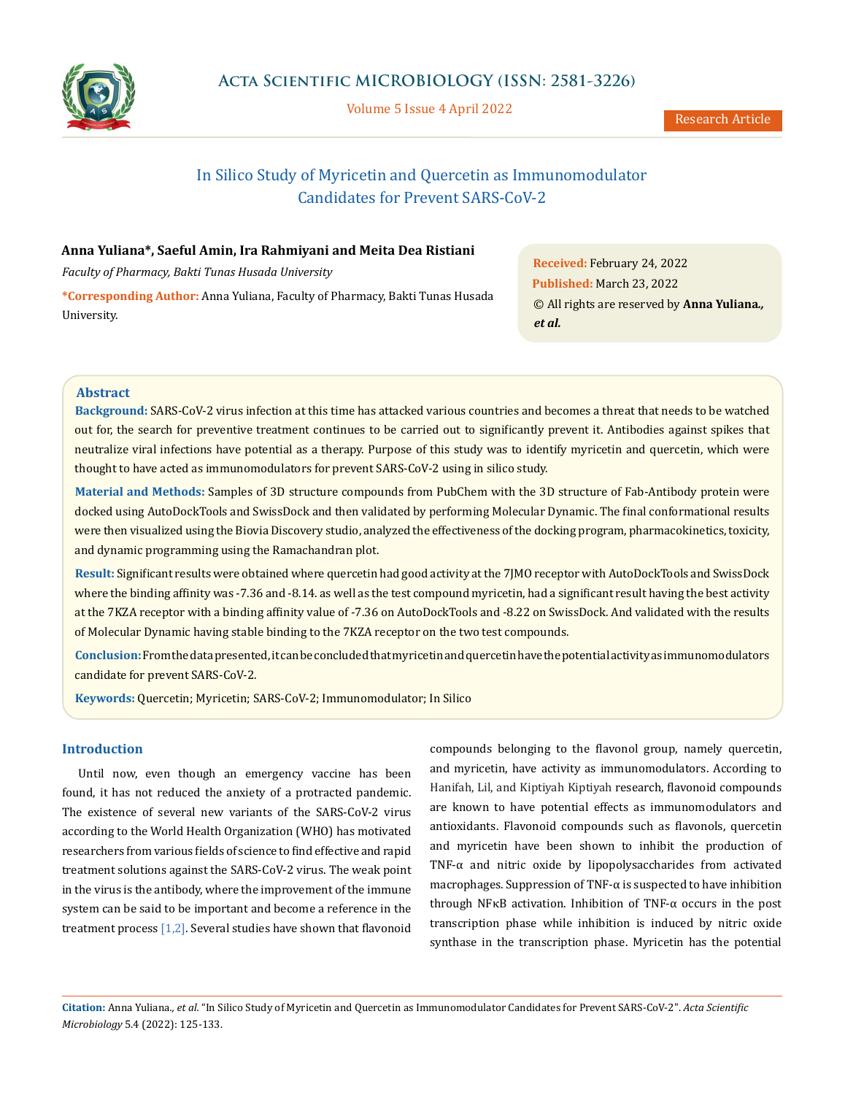

Volume 5 Issue 4 April 2022

# In Silico Study of Myricetin and Quercetin as Immunomodulator Candidates for Prevent SARS-CoV-2

### **Anna Yuliana\*, Saeful Amin, Ira Rahmiyani and Meita Dea Ristiani**

*Faculty of Pharmacy, Bakti Tunas Husada University* 

**\*Corresponding Author:** Anna Yuliana, Faculty of Pharmacy, Bakti Tunas Husada University.

**Received:** February 24, 2022 **Published:** March 23, 2022 © All rights are reserved by **Anna Yuliana***., et al.*

### **Abstract**

**Background:** SARS-CoV-2 virus infection at this time has attacked various countries and becomes a threat that needs to be watched out for, the search for preventive treatment continues to be carried out to significantly prevent it. Antibodies against spikes that neutralize viral infections have potential as a therapy. Purpose of this study was to identify myricetin and quercetin, which were thought to have acted as immunomodulators for prevent SARS-CoV-2 using in silico study.

**Material and Methods:** Samples of 3D structure compounds from PubChem with the 3D structure of Fab-Antibody protein were docked using AutoDockTools and SwissDock and then validated by performing Molecular Dynamic. The final conformational results were then visualized using the Biovia Discovery studio, analyzed the effectiveness of the docking program, pharmacokinetics, toxicity, and dynamic programming using the Ramachandran plot.

**Result:** Significant results were obtained where quercetin had good activity at the 7JMO receptor with AutoDockTools and SwissDock where the binding affinity was -7.36 and -8.14. as well as the test compound myricetin, had a significant result having the best activity at the 7KZA receptor with a binding affinity value of -7.36 on AutoDockTools and -8.22 on SwissDock. And validated with the results of Molecular Dynamic having stable binding to the 7KZA receptor on the two test compounds.

**Conclusion:** From the data presented, it can be concluded that myricetin and quercetin have the potential activity as immunomodulators candidate for prevent SARS-CoV-2.

**Keywords:** Quercetin; Myricetin; SARS-CoV-2; Immunomodulator; In Silico

### **Introduction**

Until now, even though an emergency vaccine has been found, it has not reduced the anxiety of a protracted pandemic. The existence of several new variants of the SARS-CoV-2 virus according to the World Health Organization (WHO) has motivated researchers from various fields of science to find effective and rapid treatment solutions against the SARS-CoV-2 virus. The weak point in the virus is the antibody, where the improvement of the immune system can be said to be important and become a reference in the treatment process  $[1,2]$ . Several studies have shown that flavonoid compounds belonging to the flavonol group, namely quercetin, and myricetin, have activity as immunomodulators. According to Hanifah, Lil, and Kiptiyah Kiptiyah research, flavonoid compounds are known to have potential effects as immunomodulators and antioxidants. Flavonoid compounds such as flavonols, quercetin and myricetin have been shown to inhibit the production of TNF-α and nitric oxide by lipopolysaccharides from activated macrophages. Suppression of TNF-α is suspected to have inhibition through NFκB activation. Inhibition of TNF-α occurs in the post transcription phase while inhibition is induced by nitric oxide synthase in the transcription phase. Myricetin has the potential

**Citation:** Anna Yuliana*., et al.* "In Silico Study of Myricetin and Quercetin as Immunomodulator Candidates for Prevent SARS-CoV-2". *Acta Scientific Microbiology* 5.4 (2022): 125-133.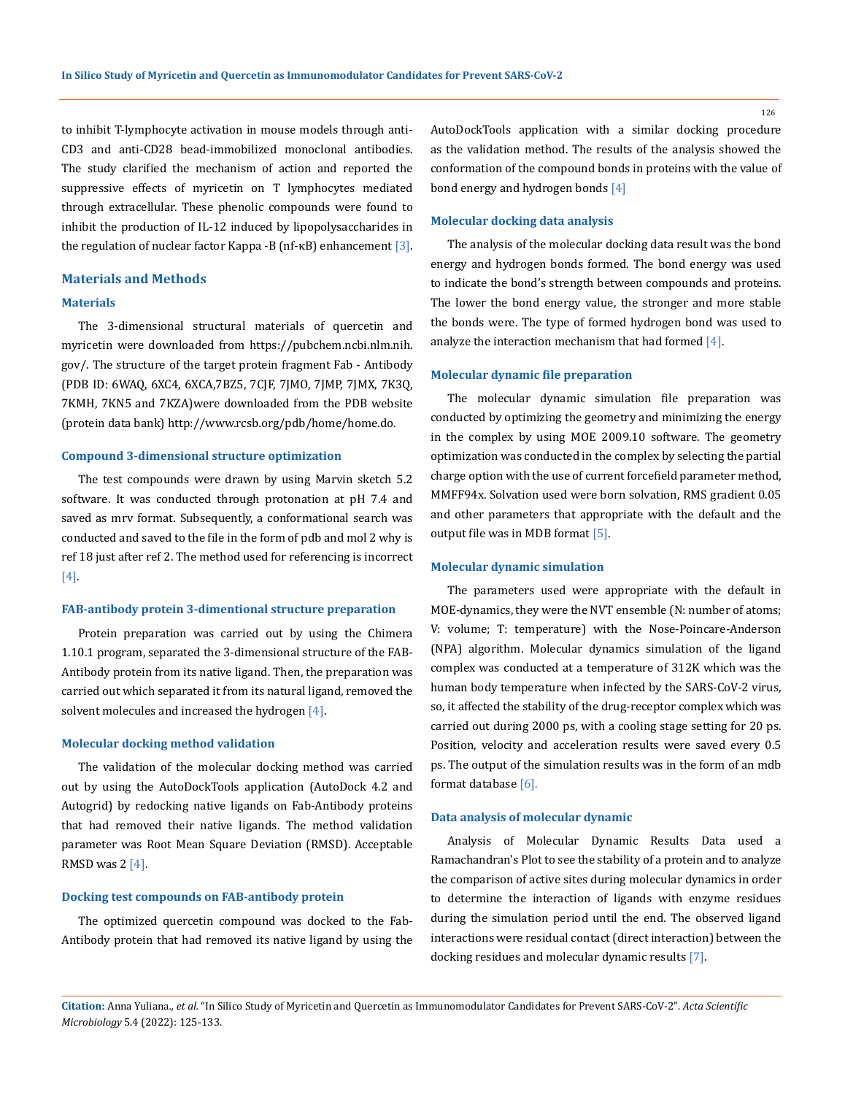to inhibit T-lymphocyte activation in mouse models through anti-CD3 and anti-CD28 bead-immobilized monoclonal antibodies. The study clarified the mechanism of action and reported the suppressive effects of myricetin on T lymphocytes mediated through extracellular. These phenolic compounds were found to inhibit the production of IL-12 induced by lipopolysaccharides in the regulation of nuclear factor Kappa -B (nf- $\kappa$ B) enhancement [3].

### **Materials and Methods**

### **Materials**

The 3-dimensional structural materials of quercetin and myricetin were downloaded from [https://pubchem.ncbi.nlm.nih.](https://pubchem.ncbi.nlm.nih.gov/) [gov/](https://pubchem.ncbi.nlm.nih.gov/). The structure of the target protein fragment Fab - Antibody (PDB ID: 6WAQ, 6XC4, 6XCA,7BZ5, 7CJF, 7JMO, 7JMP, 7JMX, 7K3Q, 7KMH, 7KN5 and 7KZA)were downloaded from the PDB website (protein data bank) <http://www.rcsb.org/pdb/home/home.do>.

### **Compound 3-dimensional structure optimization**

The test compounds were drawn by using Marvin sketch 5.2 software. It was conducted through protonation at pH 7.4 and saved as mrv format. Subsequently, a conformational search was conducted and saved to the file in the form of pdb and mol 2 why is ref 18 just after ref 2. The method used for referencing is incorrect [4].

### **FAB-antibody protein 3-dimentional structure preparation**

Protein preparation was carried out by using the Chimera 1.10.1 program, separated the 3-dimensional structure of the FAB-Antibody protein from its native ligand. Then, the preparation was carried out which separated it from its natural ligand, removed the solvent molecules and increased the hydrogen [4].

### **Molecular docking method validation**

The validation of the molecular docking method was carried out by using the AutoDockTools application (AutoDock 4.2 and Autogrid) by redocking native ligands on Fab-Antibody proteins that had removed their native ligands. The method validation parameter was Root Mean Square Deviation (RMSD). Acceptable RMSD was  $2 \lfloor 4 \rfloor$ .

### **Docking test compounds on FAB-antibody protein**

The optimized quercetin compound was docked to the Fab-Antibody protein that had removed its native ligand by using the AutoDockTools application with a similar docking procedure as the validation method. The results of the analysis showed the conformation of the compound bonds in proteins with the value of bond energy and hydrogen bonds [4]

#### **Molecular docking data analysis**

The analysis of the molecular docking data result was the bond energy and hydrogen bonds formed. The bond energy was used to indicate the bond's strength between compounds and proteins. The lower the bond energy value, the stronger and more stable the bonds were. The type of formed hydrogen bond was used to analyze the interaction mechanism that had formed  $[4]$ .

#### **Molecular dynamic file preparation**

The molecular dynamic simulation file preparation was conducted by optimizing the geometry and minimizing the energy in the complex by using MOE 2009.10 software. The geometry optimization was conducted in the complex by selecting the partial charge option with the use of current forcefield parameter method, MMFF94x. Solvation used were born solvation, RMS gradient 0.05 and other parameters that appropriate with the default and the output file was in MDB format [5].

#### **Molecular dynamic simulation**

The parameters used were appropriate with the default in MOE-dynamics, they were the NVT ensemble (N: number of atoms; V: volume; T: temperature) with the Nose-Poincare-Anderson (NPA) algorithm. Molecular dynamics simulation of the ligand complex was conducted at a temperature of 312K which was the human body temperature when infected by the SARS-CoV-2 virus, so, it affected the stability of the drug-receptor complex which was carried out during 2000 ps, with a cooling stage setting for 20 ps. Position, velocity and acceleration results were saved every 0.5 ps. The output of the simulation results was in the form of an mdb format database [6].

#### **Data analysis of molecular dynamic**

Analysis of Molecular Dynamic Results Data used a Ramachandran's Plot to see the stability of a protein and to analyze the comparison of active sites during molecular dynamics in order to determine the interaction of ligands with enzyme residues during the simulation period until the end. The observed ligand interactions were residual contact (direct interaction) between the docking residues and molecular dynamic results [7].

**Citation:** Anna Yuliana*., et al.* "In Silico Study of Myricetin and Quercetin as Immunomodulator Candidates for Prevent SARS-CoV-2". *Acta Scientific Microbiology* 5.4 (2022): 125-133.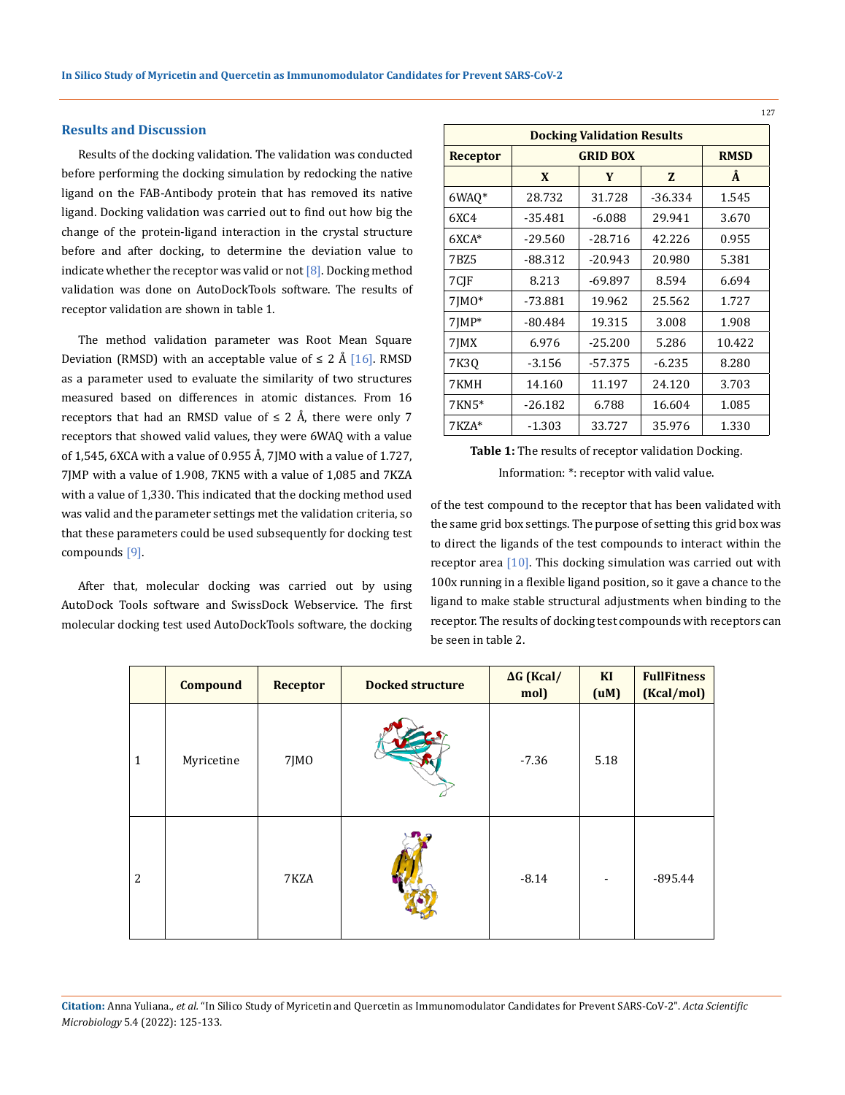### **Results and Discussion**

Results of the docking validation. The validation was conducted before performing the docking simulation by redocking the native ligand on the FAB-Antibody protein that has removed its native ligand. Docking validation was carried out to find out how big the change of the protein-ligand interaction in the crystal structure before and after docking, to determine the deviation value to indicate whether the receptor was valid or not  $[8]$ . Docking method validation was done on AutoDockTools software. The results of receptor validation are shown in table 1.

The method validation parameter was Root Mean Square Deviation (RMSD) with an acceptable value of ≤ 2 Å [16]. RMSD as a parameter used to evaluate the similarity of two structures measured based on differences in atomic distances. From 16 receptors that had an RMSD value of  $\leq 2$  Å, there were only 7 receptors that showed valid values, they were 6WAQ with a value of 1,545, 6XCA with a value of 0.955 Å, 7JMO with a value of 1.727, 7JMP with a value of 1.908, 7KN5 with a value of 1,085 and 7KZA with a value of 1,330. This indicated that the docking method used was valid and the parameter settings met the validation criteria, so that these parameters could be used subsequently for docking test compounds [9].

After that, molecular docking was carried out by using AutoDock Tools software and SwissDock Webservice. The first molecular docking test used AutoDockTools software, the docking

| <b>Docking Validation Results</b> |           |             |           |        |
|-----------------------------------|-----------|-------------|-----------|--------|
| Receptor                          |           | <b>RMSD</b> |           |        |
|                                   | X         | Y           | Z         | Å      |
| 6WAQ*                             | 28.732    | 31.728      | $-36.334$ | 1.545  |
| 6XC4                              | $-35.481$ | $-6.088$    | 29.941    | 3.670  |
| $6XCA*$                           | $-29.560$ | $-28.716$   | 42.226    | 0.955  |
| 7BZ5                              | -88.312   | $-20.943$   | 20.980    | 5.381  |
| 7CIF                              | 8.213     | $-69.897$   | 8.594     | 6.694  |
| $7IM0*$                           | $-73.881$ | 19.962      | 25.562    | 1.727  |
| 7JMP*                             | $-80.484$ | 19.315      | 3.008     | 1.908  |
| 7JMX                              | 6.976     | $-25.200$   | 5.286     | 10.422 |
| 7K3Q                              | -3.156    | $-57.375$   | $-6.235$  | 8.280  |
| 7KMH                              | 14.160    | 11.197      | 24.120    | 3.703  |
| 7KN5*                             | $-26.182$ | 6.788       | 16.604    | 1.085  |
| 7KZA*                             | $-1.303$  | 33.727      | 35.976    | 1.330  |

## **Table 1:** The results of receptor validation Docking. Information: \*: receptor with valid value.

of the test compound to the receptor that has been validated with the same grid box settings. The purpose of setting this grid box was to direct the ligands of the test compounds to interact within the receptor area [10]. This docking simulation was carried out with 100x running in a flexible ligand position, so it gave a chance to the ligand to make stable structural adjustments when binding to the receptor. The results of docking test compounds with receptors can be seen in table 2.

|                | <b>Compound</b> | <b>Receptor</b> | <b>Docked structure</b> | $\Delta G$ (Kcal/<br>mol) | KI<br>(uM) | <b>FullFitness</b><br>(Kcal/mol) |
|----------------|-----------------|-----------------|-------------------------|---------------------------|------------|----------------------------------|
| $\mathbf{1}$   | Myricetine      | 7JMO            |                         | $-7.36$                   | 5.18       |                                  |
| $\overline{2}$ |                 | 7KZA            |                         | $-8.14$                   |            | $-895.44$                        |

**Citation:** Anna Yuliana*., et al.* "In Silico Study of Myricetin and Quercetin as Immunomodulator Candidates for Prevent SARS-CoV-2". *Acta Scientific Microbiology* 5.4 (2022): 125-133.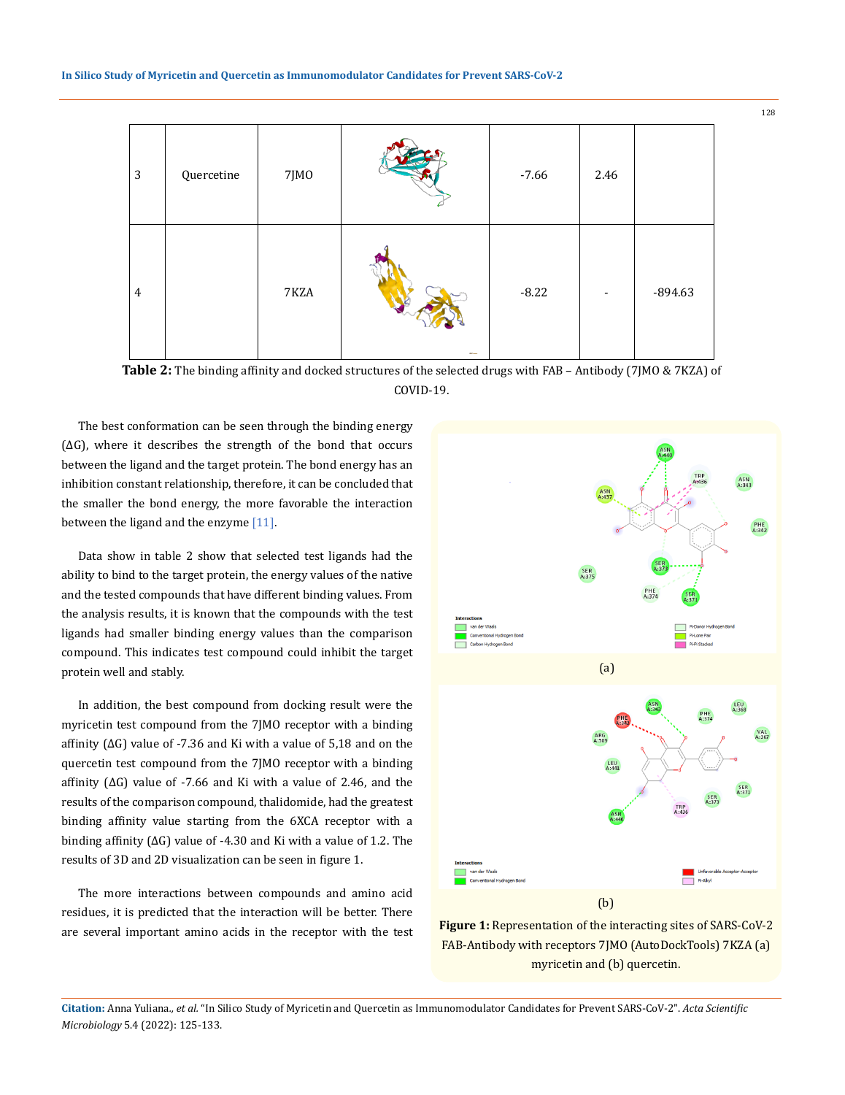| $\mathbf{3}$   | Quercetine | 7JMO |             | $-7.66$ | 2.46 |           |
|----------------|------------|------|-------------|---------|------|-----------|
| $\overline{4}$ |            | 7KZA | <b>ROMA</b> | $-8.22$ |      | $-894.63$ |

**Table 2:** The binding affinity and docked structures of the selected drugs with FAB – Antibody (7JMO & 7KZA) of COVID-19.

The best conformation can be seen through the binding energy (∆G), where it describes the strength of the bond that occurs between the ligand and the target protein. The bond energy has an inhibition constant relationship, therefore, it can be concluded that the smaller the bond energy, the more favorable the interaction between the ligand and the enzyme  $[11]$ .

Data show in table 2 show that selected test ligands had the ability to bind to the target protein, the energy values of the native and the tested compounds that have different binding values. From the analysis results, it is known that the compounds with the test ligands had smaller binding energy values than the comparison compound. This indicates test compound could inhibit the target protein well and stably.

In addition, the best compound from docking result were the myricetin test compound from the 7JMO receptor with a binding affinity (∆G) value of -7.36 and Ki with a value of 5,18 and on the quercetin test compound from the 7JMO receptor with a binding affinity (∆G) value of -7.66 and Ki with a value of 2.46, and the results of the comparison compound, thalidomide, had the greatest binding affinity value starting from the 6XCA receptor with a binding affinity (∆G) value of -4.30 and Ki with a value of 1.2. The results of 3D and 2D visualization can be seen in figure 1.

The more interactions between compounds and amino acid residues, it is predicted that the interaction will be better. There are several important amino acids in the receptor with the test





**Citation:** Anna Yuliana*., et al.* "In Silico Study of Myricetin and Quercetin as Immunomodulator Candidates for Prevent SARS-CoV-2". *Acta Scientific Microbiology* 5.4 (2022): 125-133.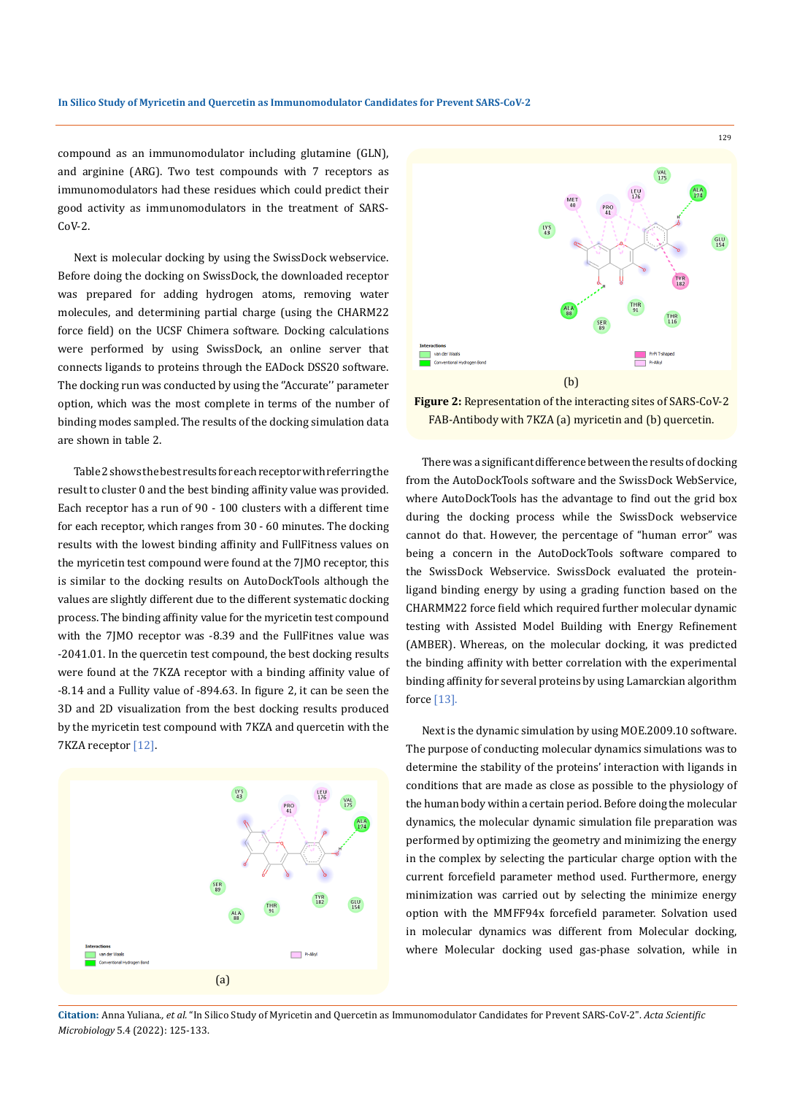compound as an immunomodulator including glutamine (GLN), and arginine (ARG). Two test compounds with 7 receptors as immunomodulators had these residues which could predict their good activity as immunomodulators in the treatment of SARS-CoV-2.

Next is molecular docking by using the SwissDock webservice. Before doing the docking on SwissDock, the downloaded receptor was prepared for adding hydrogen atoms, removing water molecules, and determining partial charge (using the CHARM22 force field) on the UCSF Chimera software. Docking calculations were performed by using SwissDock, an online server that connects ligands to proteins through the EADock DSS20 software. The docking run was conducted by using the ''Accurate'' parameter option, which was the most complete in terms of the number of binding modes sampled. The results of the docking simulation data are shown in table 2.

Table 2 shows the best results for each receptor with referring the result to cluster 0 and the best binding affinity value was provided. Each receptor has a run of 90 - 100 clusters with a different time for each receptor, which ranges from 30 - 60 minutes. The docking results with the lowest binding affinity and FullFitness values on the myricetin test compound were found at the 7JMO receptor, this is similar to the docking results on AutoDockTools although the values are slightly different due to the different systematic docking process. The binding affinity value for the myricetin test compound with the 7JMO receptor was -8.39 and the FullFitnes value was -2041.01. In the quercetin test compound, the best docking results were found at the 7KZA receptor with a binding affinity value of -8.14 and a Fullity value of -894.63. In figure 2, it can be seen the 3D and 2D visualization from the best docking results produced by the myricetin test compound with 7KZA and quercetin with the 7KZA receptor [12].





**Figure 2:** Representation of the interacting sites of SARS-CoV-2 FAB-Antibody with 7KZA (a) myricetin and (b) quercetin.

There was a significant difference between the results of docking from the AutoDockTools software and the SwissDock WebService, where AutoDockTools has the advantage to find out the grid box during the docking process while the SwissDock webservice cannot do that. However, the percentage of "human error" was being a concern in the AutoDockTools software compared to the SwissDock Webservice. SwissDock evaluated the proteinligand binding energy by using a grading function based on the CHARMM22 force field which required further molecular dynamic testing with Assisted Model Building with Energy Refinement (AMBER). Whereas, on the molecular docking, it was predicted the binding affinity with better correlation with the experimental binding affinity for several proteins by using Lamarckian algorithm force [13].

Next is the dynamic simulation by using MOE.2009.10 software. The purpose of conducting molecular dynamics simulations was to determine the stability of the proteins' interaction with ligands in conditions that are made as close as possible to the physiology of the human body within a certain period. Before doing the molecular dynamics, the molecular dynamic simulation file preparation was performed by optimizing the geometry and minimizing the energy in the complex by selecting the particular charge option with the current forcefield parameter method used. Furthermore, energy minimization was carried out by selecting the minimize energy option with the MMFF94x forcefield parameter. Solvation used in molecular dynamics was different from Molecular docking, where Molecular docking used gas-phase solvation, while in

**Citation:** Anna Yuliana*., et al.* "In Silico Study of Myricetin and Quercetin as Immunomodulator Candidates for Prevent SARS-CoV-2". *Acta Scientific Microbiology* 5.4 (2022): 125-133.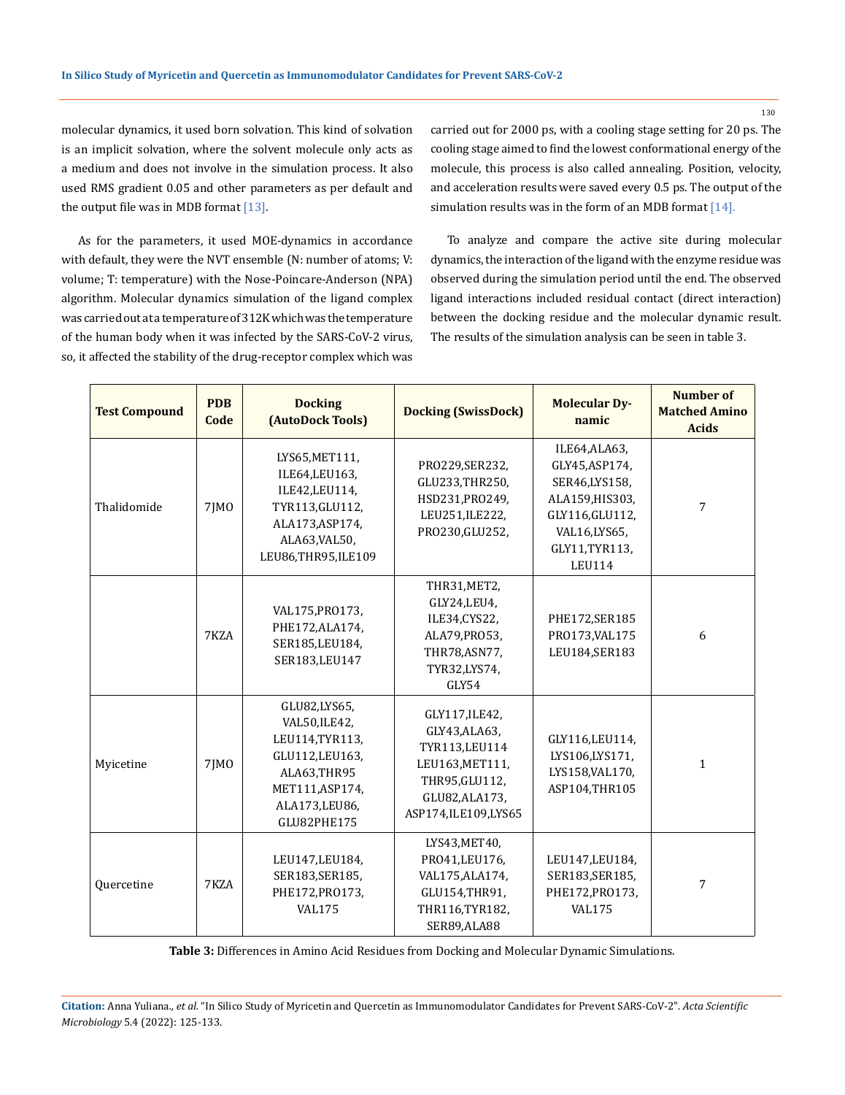molecular dynamics, it used born solvation. This kind of solvation is an implicit solvation, where the solvent molecule only acts as a medium and does not involve in the simulation process. It also used RMS gradient 0.05 and other parameters as per default and the output file was in MDB format  $[13]$ .

As for the parameters, it used MOE-dynamics in accordance with default, they were the NVT ensemble (N: number of atoms; V: volume; T: temperature) with the Nose-Poincare-Anderson (NPA) algorithm. Molecular dynamics simulation of the ligand complex was carried out at a temperature of 312K which was the temperature of the human body when it was infected by the SARS-CoV-2 virus, so, it affected the stability of the drug-receptor complex which was carried out for 2000 ps, with a cooling stage setting for 20 ps. The cooling stage aimed to find the lowest conformational energy of the molecule, this process is also called annealing. Position, velocity, and acceleration results were saved every 0.5 ps. The output of the simulation results was in the form of an MDB format [14].

To analyze and compare the active site during molecular dynamics, the interaction of the ligand with the enzyme residue was observed during the simulation period until the end. The observed ligand interactions included residual contact (direct interaction) between the docking residue and the molecular dynamic result. The results of the simulation analysis can be seen in table 3.

| <b>Test Compound</b> | <b>PDB</b><br>Code | <b>Docking</b><br>(AutoDock Tools)                                                                                                     | <b>Docking (SwissDock)</b>                                                                                                       | <b>Molecular Dy-</b><br>namic                                                                                                            | <b>Number of</b><br><b>Matched Amino</b><br><b>Acids</b> |
|----------------------|--------------------|----------------------------------------------------------------------------------------------------------------------------------------|----------------------------------------------------------------------------------------------------------------------------------|------------------------------------------------------------------------------------------------------------------------------------------|----------------------------------------------------------|
| Thalidomide          | 7JM0               | LYS65, MET111,<br>ILE64, LEU163,<br>ILE42, LEU114,<br>TYR113, GLU112,<br>ALA173, ASP174,<br>ALA63, VAL50,<br>LEU86,THR95,ILE109        | PR0229,SER232,<br>GLU233, THR250,<br>HSD231, PR0249,<br>LEU251, ILE222,<br>PR0230, GLU252,                                       | ILE64,ALA63,<br>GLY45, ASP174,<br>SER46,LYS158,<br>ALA159, HIS303,<br>GLY116, GLU112,<br>VAL16,LYS65,<br>GLY11, TYR113,<br><b>LEU114</b> | 7                                                        |
|                      | 7KZA               | VAL175, PRO173,<br>PHE172, ALA174,<br>SER185, LEU184,<br>SER183, LEU147                                                                | THR31, MET2,<br>GLY24,LEU4,<br>ILE34, CYS22,<br>ALA79, PR053,<br>THR78, ASN77,<br>TYR32,LYS74,<br>GLY54                          | PHE172, SER185<br>PR0173, VAL175<br>LEU184, SER183                                                                                       | 6                                                        |
| Myicetine            | 7JMO               | GLU82,LYS65,<br>VAL50, ILE42,<br>LEU114, TYR113,<br>GLU112, LEU163,<br>ALA63,THR95<br>MET111, ASP174,<br>ALA173, LEU86,<br>GLU82PHE175 | GLY117, ILE42,<br>GLY43,ALA63,<br>TYR113, LEU114<br>LEU163, MET111,<br>THR95, GLU112,<br>GLU82, ALA173,<br>ASP174, ILE109, LYS65 | GLY116,LEU114,<br>LYS106,LYS171,<br>LYS158, VAL170,<br>ASP104,THR105                                                                     | $\mathbf{1}$                                             |
| Quercetine           | 7KZA               | LEU147, LEU184,<br>SER183, SER185,<br>PHE172, PRO173,<br><b>VAL175</b>                                                                 | LYS43, MET40,<br>PR041,LEU176,<br>VAL175, ALA174,<br>GLU154, THR91,<br>THR116, TYR182,<br>SER89, ALA88                           | LEU147, LEU184,<br>SER183, SER185,<br>PHE172, PRO173,<br><b>VAL175</b>                                                                   | 7                                                        |

**Table 3:** Differences in Amino Acid Residues from Docking and Molecular Dynamic Simulations.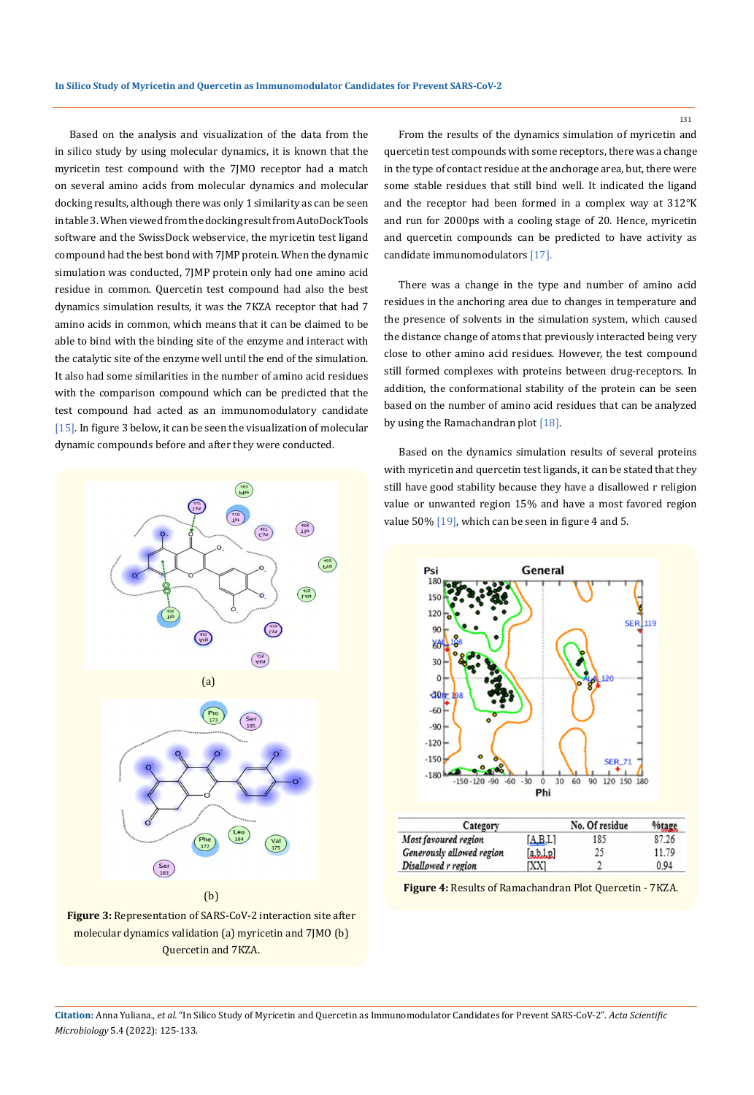Based on the analysis and visualization of the data from the in silico study by using molecular dynamics, it is known that the myricetin test compound with the 7JMO receptor had a match on several amino acids from molecular dynamics and molecular docking results, although there was only 1 similarity as can be seen in table 3. When viewed from the docking result from AutoDockTools software and the SwissDock webservice, the myricetin test ligand compound had the best bond with 7JMP protein. When the dynamic simulation was conducted, 7JMP protein only had one amino acid residue in common. Quercetin test compound had also the best dynamics simulation results, it was the 7KZA receptor that had 7 amino acids in common, which means that it can be claimed to be able to bind with the binding site of the enzyme and interact with the catalytic site of the enzyme well until the end of the simulation. It also had some similarities in the number of amino acid residues with the comparison compound which can be predicted that the test compound had acted as an immunomodulatory candidate [15]. In figure 3 below, it can be seen the visualization of molecular dynamic compounds before and after they were conducted.



**Figure 3:** Representation of SARS-CoV-2 interaction site after molecular dynamics validation (a) myricetin and 7JMO (b) Quercetin and 7KZA.

From the results of the dynamics simulation of myricetin and quercetin test compounds with some receptors, there was a change in the type of contact residue at the anchorage area, but, there were some stable residues that still bind well. It indicated the ligand and the receptor had been formed in a complex way at 312°K and run for 2000ps with a cooling stage of 20. Hence, myricetin and quercetin compounds can be predicted to have activity as candidate immunomodulators [17].

There was a change in the type and number of amino acid residues in the anchoring area due to changes in temperature and the presence of solvents in the simulation system, which caused the distance change of atoms that previously interacted being very close to other amino acid residues. However, the test compound still formed complexes with proteins between drug-receptors. In addition, the conformational stability of the protein can be seen based on the number of amino acid residues that can be analyzed by using the Ramachandran plot [18].

Based on the dynamics simulation results of several proteins with myricetin and quercetin test ligands, it can be stated that they still have good stability because they have a disallowed r religion value or unwanted region 15% and have a most favored region value 50% [19], which can be seen in figure 4 and 5.



|         | No. Of residue | %tage |
|---------|----------------|-------|
| [A.B,L] | 185            | 87.26 |
| a,b,l,p | 25             | 11.79 |
| [XX]    |                | 0.94  |
|         |                |       |

**Figure 4:** Results of Ramachandran Plot Quercetin - 7KZA.

**Citation:** Anna Yuliana*., et al.* "In Silico Study of Myricetin and Quercetin as Immunomodulator Candidates for Prevent SARS-CoV-2". *Acta Scientific Microbiology* 5.4 (2022): 125-133.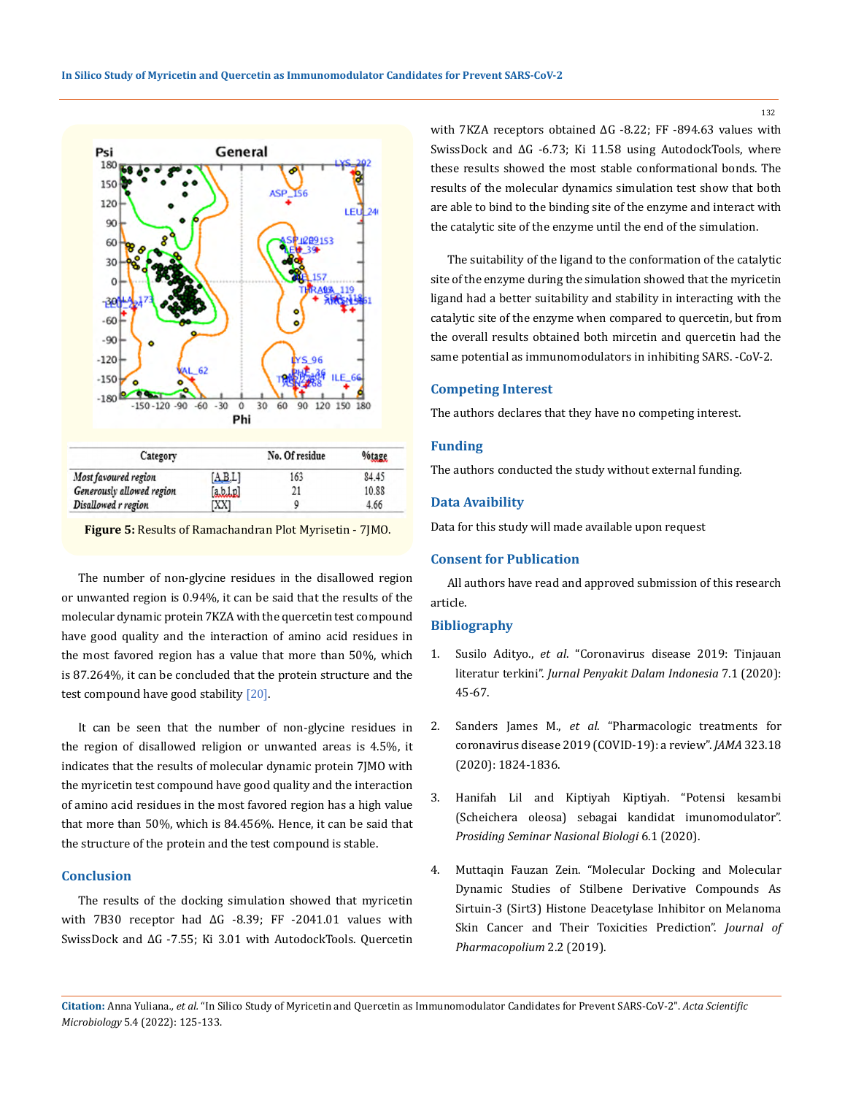

| Calcgory                  |         | <b>NO. OFFESIGNS</b> | <b>TUBELL</b> |  |
|---------------------------|---------|----------------------|---------------|--|
| Most favoured region      | [A,B,L] | 163                  | 84.45         |  |
| Generously allowed region | arche   |                      | 10.88         |  |
| Disallowed r region       | [XX]    |                      | 4.66          |  |

**Figure 5:** Results of Ramachandran Plot Myrisetin - 7JMO.

The number of non-glycine residues in the disallowed region or unwanted region is 0.94%, it can be said that the results of the molecular dynamic protein 7KZA with the quercetin test compound have good quality and the interaction of amino acid residues in the most favored region has a value that more than 50%, which is 87.264%, it can be concluded that the protein structure and the test compound have good stability [20].

It can be seen that the number of non-glycine residues in the region of disallowed religion or unwanted areas is 4.5%, it indicates that the results of molecular dynamic protein 7JMO with the myricetin test compound have good quality and the interaction of amino acid residues in the most favored region has a high value that more than 50%, which is 84.456%. Hence, it can be said that the structure of the protein and the test compound is stable.

### **Conclusion**

The results of the docking simulation showed that myricetin with 7B30 receptor had ∆G -8.39; FF -2041.01 values with SwissDock and ∆G -7.55; Ki 3.01 with AutodockTools. Quercetin with 7KZA receptors obtained ∆G -8.22; FF -894.63 values with SwissDock and ∆G -6.73; Ki 11.58 using AutodockTools, where these results showed the most stable conformational bonds. The results of the molecular dynamics simulation test show that both are able to bind to the binding site of the enzyme and interact with the catalytic site of the enzyme until the end of the simulation.

The suitability of the ligand to the conformation of the catalytic site of the enzyme during the simulation showed that the myricetin ligand had a better suitability and stability in interacting with the catalytic site of the enzyme when compared to quercetin, but from the overall results obtained both mircetin and quercetin had the same potential as immunomodulators in inhibiting SARS. -CoV-2.

### **Competing Interest**

The authors declares that they have no competing interest.

### **Funding**

The authors conducted the study without external funding.

#### **Data Avaibility**

Data for this study will made available upon request

### **Consent for Publication**

All authors have read and approved submission of this research article.

### **Bibliography**

- 1. Susilo Adityo., *et al*[. "Coronavirus disease 2019: Tinjauan](http://jurnalpenyakitdalam.ui.ac.id/index.php/jpdi/article/view/415)  literatur terkini". *[Jurnal Penyakit Dalam Indonesia](http://jurnalpenyakitdalam.ui.ac.id/index.php/jpdi/article/view/415)* 7.1 (2020): [45-67.](http://jurnalpenyakitdalam.ui.ac.id/index.php/jpdi/article/view/415)
- 2. Sanders James M., *et al*[. "Pharmacologic treatments for](https://jamanetwork.com/journals/jama/fullarticle/2764727/)  [coronavirus disease 2019 \(COVID-19\): a review".](https://jamanetwork.com/journals/jama/fullarticle/2764727/) *JAMA* 323.18 [\(2020\): 1824-1836.](https://jamanetwork.com/journals/jama/fullarticle/2764727/)
- 3. [Hanifah Lil and Kiptiyah Kiptiyah. "Potensi kesambi](http://repository.uin-malang.ac.id/7964/)  [\(Scheichera oleosa\) sebagai kandidat imunomodulator".](http://repository.uin-malang.ac.id/7964/)  *[Prosiding Seminar Nasional Biologi](http://repository.uin-malang.ac.id/7964/)* 6.1 (2020).
- 4. [Muttaqin Fauzan Zein. "Molecular Docking and Molecular](https://www.semanticscholar.org/paper/MOLECULAR-DOCKING-AND-MOLECULAR-DYNAMIC-STUDIES-OF-Muttaqin/823fa40e85cc93ed1dc9a8b89ac87a6fcae99ed1)  [Dynamic Studies of Stilbene Derivative Compounds As](https://www.semanticscholar.org/paper/MOLECULAR-DOCKING-AND-MOLECULAR-DYNAMIC-STUDIES-OF-Muttaqin/823fa40e85cc93ed1dc9a8b89ac87a6fcae99ed1)  [Sirtuin-3 \(Sirt3\) Histone Deacetylase Inhibitor on Melanoma](https://www.semanticscholar.org/paper/MOLECULAR-DOCKING-AND-MOLECULAR-DYNAMIC-STUDIES-OF-Muttaqin/823fa40e85cc93ed1dc9a8b89ac87a6fcae99ed1)  [Skin Cancer and Their Toxicities Prediction".](https://www.semanticscholar.org/paper/MOLECULAR-DOCKING-AND-MOLECULAR-DYNAMIC-STUDIES-OF-Muttaqin/823fa40e85cc93ed1dc9a8b89ac87a6fcae99ed1) *Journal of [Pharmacopolium](https://www.semanticscholar.org/paper/MOLECULAR-DOCKING-AND-MOLECULAR-DYNAMIC-STUDIES-OF-Muttaqin/823fa40e85cc93ed1dc9a8b89ac87a6fcae99ed1)* 2.2 (2019).

**Citation:** Anna Yuliana*., et al.* "In Silico Study of Myricetin and Quercetin as Immunomodulator Candidates for Prevent SARS-CoV-2". *Acta Scientific Microbiology* 5.4 (2022): 125-133.